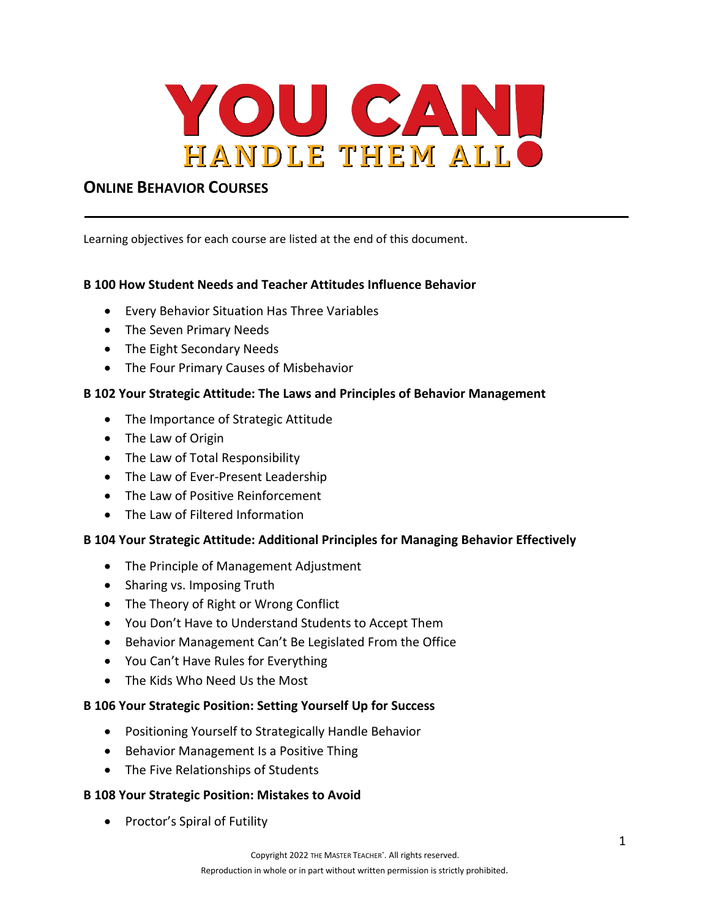

# **ONLINE BEHAVIOR COURSES**

Learning objectives for each course are listed at the end of this document.

## **B 100 How Student Needs and Teacher Attitudes Influence Behavior**

- Every Behavior Situation Has Three Variables
- The Seven Primary Needs
- The Eight Secondary Needs
- The Four Primary Causes of Misbehavior

### **B 102 Your Strategic Attitude: The Laws and Principles of Behavior Management**

- The Importance of Strategic Attitude
- The Law of Origin
- The Law of Total Responsibility
- The Law of Ever-Present Leadership
- The Law of Positive Reinforcement
- The Law of Filtered Information

### **B 104 Your Strategic Attitude: Additional Principles for Managing Behavior Effectively**

- The Principle of Management Adjustment
- Sharing vs. Imposing Truth
- The Theory of Right or Wrong Conflict
- You Don't Have to Understand Students to Accept Them
- Behavior Management Can't Be Legislated From the Office
- You Can't Have Rules for Everything
- The Kids Who Need Us the Most

### **B 106 Your Strategic Position: Setting Yourself Up for Success**

- Positioning Yourself to Strategically Handle Behavior
- Behavior Management Is a Positive Thing
- The Five Relationships of Students

### **B 108 Your Strategic Position: Mistakes to Avoid**

• Proctor's Spiral of Futility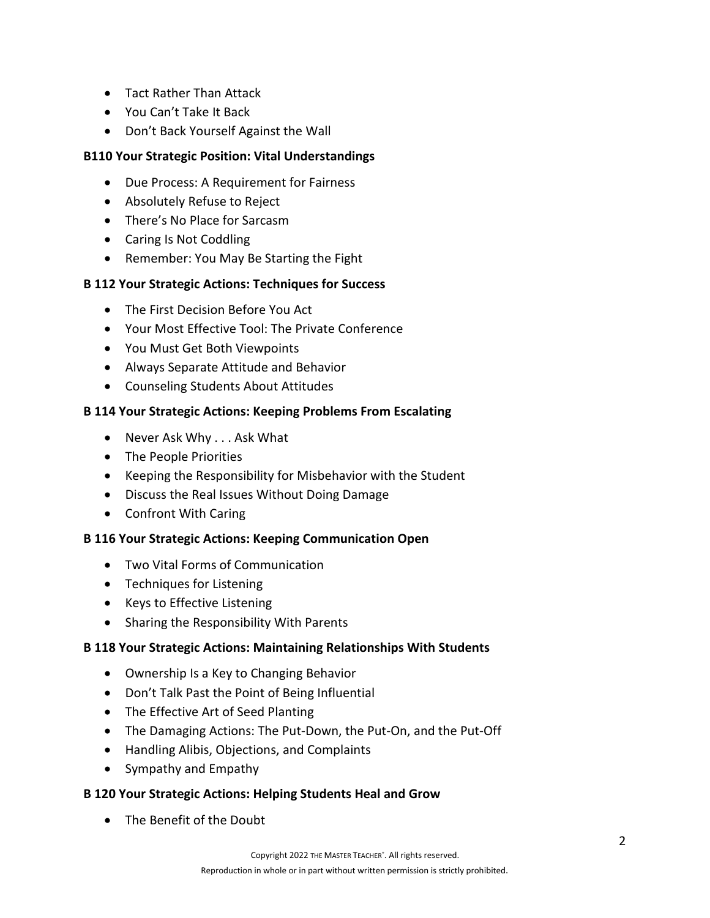- Tact Rather Than Attack
- You Can't Take It Back
- Don't Back Yourself Against the Wall

# **B110 Your Strategic Position: Vital Understandings**

- Due Process: A Requirement for Fairness
- Absolutely Refuse to Reject
- There's No Place for Sarcasm
- Caring Is Not Coddling
- Remember: You May Be Starting the Fight

## **B 112 Your Strategic Actions: Techniques for Success**

- The First Decision Before You Act
- Your Most Effective Tool: The Private Conference
- You Must Get Both Viewpoints
- Always Separate Attitude and Behavior
- Counseling Students About Attitudes

# **B 114 Your Strategic Actions: Keeping Problems From Escalating**

- Never Ask Why . . . Ask What
- The People Priorities
- Keeping the Responsibility for Misbehavior with the Student
- Discuss the Real Issues Without Doing Damage
- Confront With Caring

## **B 116 Your Strategic Actions: Keeping Communication Open**

- Two Vital Forms of Communication
- Techniques for Listening
- Keys to Effective Listening
- Sharing the Responsibility With Parents

## **B 118 Your Strategic Actions: Maintaining Relationships With Students**

- Ownership Is a Key to Changing Behavior
- Don't Talk Past the Point of Being Influential
- The Effective Art of Seed Planting
- The Damaging Actions: The Put-Down, the Put-On, and the Put-Off
- Handling Alibis, Objections, and Complaints
- Sympathy and Empathy

## **B 120 Your Strategic Actions: Helping Students Heal and Grow**

• The Benefit of the Doubt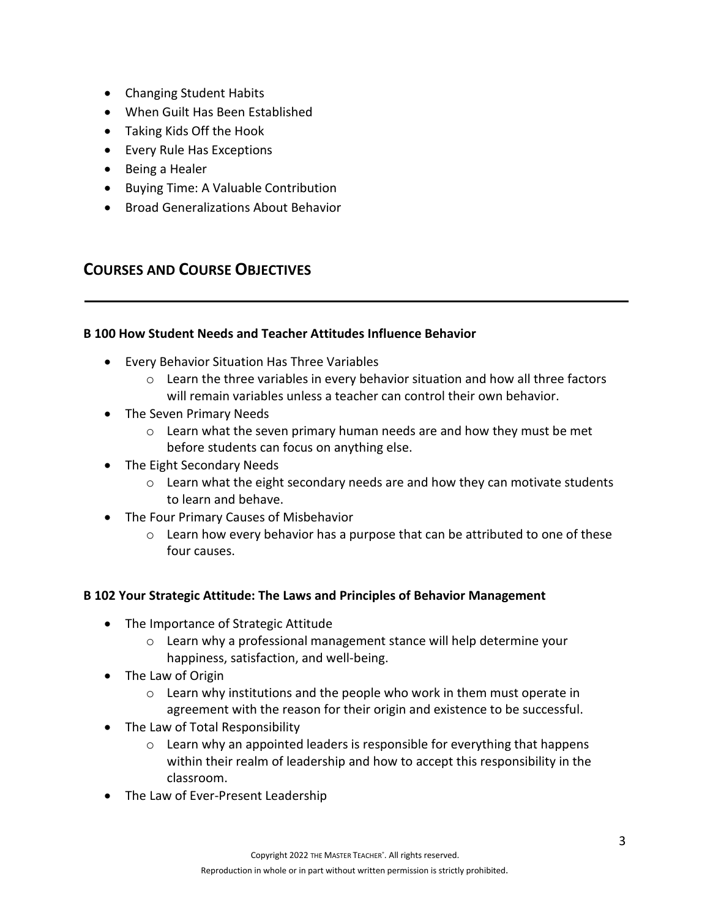- Changing Student Habits
- When Guilt Has Been Established
- Taking Kids Off the Hook
- Every Rule Has Exceptions
- Being a Healer
- Buying Time: A Valuable Contribution
- Broad Generalizations About Behavior

# **COURSES AND COURSE OBJECTIVES**

## **B 100 How Student Needs and Teacher Attitudes Influence Behavior**

- Every Behavior Situation Has Three Variables
	- $\circ$  Learn the three variables in every behavior situation and how all three factors will remain variables unless a teacher can control their own behavior.
- The Seven Primary Needs
	- $\circ$  Learn what the seven primary human needs are and how they must be met before students can focus on anything else.
- The Eight Secondary Needs
	- $\circ$  Learn what the eight secondary needs are and how they can motivate students to learn and behave.
- The Four Primary Causes of Misbehavior
	- $\circ$  Learn how every behavior has a purpose that can be attributed to one of these four causes.

## **B 102 Your Strategic Attitude: The Laws and Principles of Behavior Management**

- The Importance of Strategic Attitude
	- o Learn why a professional management stance will help determine your happiness, satisfaction, and well-being.
- The Law of Origin
	- $\circ$  Learn why institutions and the people who work in them must operate in agreement with the reason for their origin and existence to be successful.
- The Law of Total Responsibility
	- $\circ$  Learn why an appointed leaders is responsible for everything that happens within their realm of leadership and how to accept this responsibility in the classroom.
- The Law of Ever-Present Leadership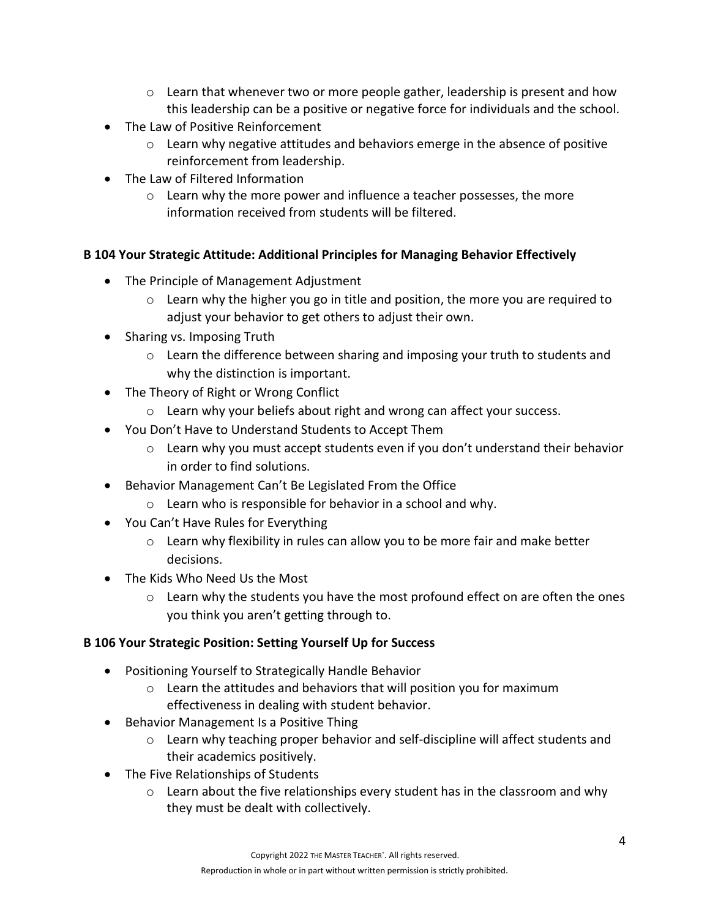- $\circ$  Learn that whenever two or more people gather, leadership is present and how this leadership can be a positive or negative force for individuals and the school.
- The Law of Positive Reinforcement
	- $\circ$  Learn why negative attitudes and behaviors emerge in the absence of positive reinforcement from leadership.
- The Law of Filtered Information
	- o Learn why the more power and influence a teacher possesses, the more information received from students will be filtered.

## **B 104 Your Strategic Attitude: Additional Principles for Managing Behavior Effectively**

- The Principle of Management Adjustment
	- o Learn why the higher you go in title and position, the more you are required to adjust your behavior to get others to adjust their own.
- Sharing vs. Imposing Truth
	- $\circ$  Learn the difference between sharing and imposing your truth to students and why the distinction is important.
- The Theory of Right or Wrong Conflict
	- $\circ$  Learn why your beliefs about right and wrong can affect your success.
- You Don't Have to Understand Students to Accept Them
	- $\circ$  Learn why you must accept students even if you don't understand their behavior in order to find solutions.
- Behavior Management Can't Be Legislated From the Office
	- o Learn who is responsible for behavior in a school and why.
- You Can't Have Rules for Everything
	- o Learn why flexibility in rules can allow you to be more fair and make better decisions.
- The Kids Who Need Us the Most
	- $\circ$  Learn why the students you have the most profound effect on are often the ones you think you aren't getting through to.

## **B 106 Your Strategic Position: Setting Yourself Up for Success**

- Positioning Yourself to Strategically Handle Behavior
	- o Learn the attitudes and behaviors that will position you for maximum effectiveness in dealing with student behavior.
- Behavior Management Is a Positive Thing
	- o Learn why teaching proper behavior and self-discipline will affect students and their academics positively.
- The Five Relationships of Students
	- $\circ$  Learn about the five relationships every student has in the classroom and why they must be dealt with collectively.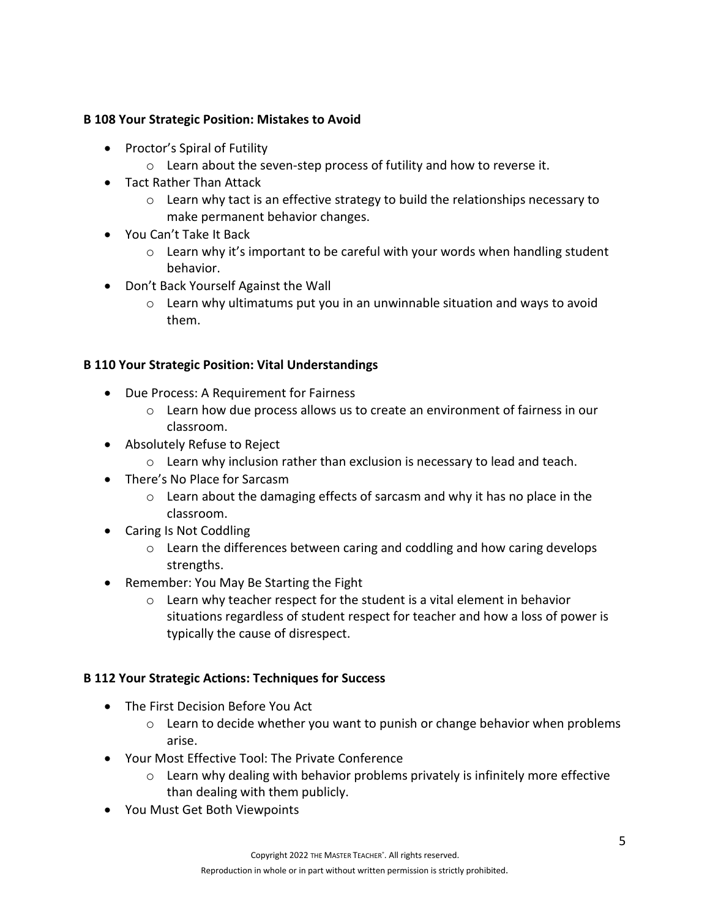## **B 108 Your Strategic Position: Mistakes to Avoid**

- Proctor's Spiral of Futility
	- o Learn about the seven-step process of futility and how to reverse it.
- Tact Rather Than Attack
	- $\circ$  Learn why tact is an effective strategy to build the relationships necessary to make permanent behavior changes.
- You Can't Take It Back
	- $\circ$  Learn why it's important to be careful with your words when handling student behavior.
- Don't Back Yourself Against the Wall
	- $\circ$  Learn why ultimatums put you in an unwinnable situation and ways to avoid them.

## **B 110 Your Strategic Position: Vital Understandings**

- Due Process: A Requirement for Fairness
	- $\circ$  Learn how due process allows us to create an environment of fairness in our classroom.
- Absolutely Refuse to Reject
	- $\circ$  Learn why inclusion rather than exclusion is necessary to lead and teach.
- There's No Place for Sarcasm
	- o Learn about the damaging effects of sarcasm and why it has no place in the classroom.
- Caring Is Not Coddling
	- $\circ$  Learn the differences between caring and coddling and how caring develops strengths.
- Remember: You May Be Starting the Fight
	- o Learn why teacher respect for the student is a vital element in behavior situations regardless of student respect for teacher and how a loss of power is typically the cause of disrespect.

## **B 112 Your Strategic Actions: Techniques for Success**

- The First Decision Before You Act
	- $\circ$  Learn to decide whether you want to punish or change behavior when problems arise.
- Your Most Effective Tool: The Private Conference
	- o Learn why dealing with behavior problems privately is infinitely more effective than dealing with them publicly.
- You Must Get Both Viewpoints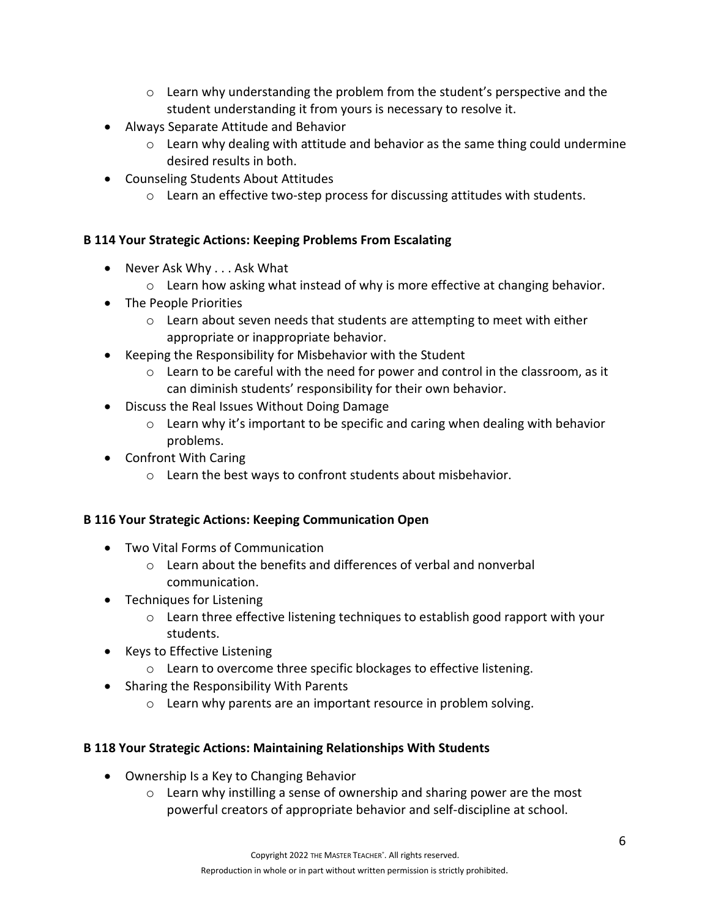- $\circ$  Learn why understanding the problem from the student's perspective and the student understanding it from yours is necessary to resolve it.
- Always Separate Attitude and Behavior
	- $\circ$  Learn why dealing with attitude and behavior as the same thing could undermine desired results in both.
- Counseling Students About Attitudes
	- $\circ$  Learn an effective two-step process for discussing attitudes with students.

## **B 114 Your Strategic Actions: Keeping Problems From Escalating**

- Never Ask Why . . . Ask What
	- $\circ$  Learn how asking what instead of why is more effective at changing behavior.
- The People Priorities
	- $\circ$  Learn about seven needs that students are attempting to meet with either appropriate or inappropriate behavior.
- Keeping the Responsibility for Misbehavior with the Student
	- $\circ$  Learn to be careful with the need for power and control in the classroom, as it can diminish students' responsibility for their own behavior.
- Discuss the Real Issues Without Doing Damage
	- $\circ$  Learn why it's important to be specific and caring when dealing with behavior problems.
- Confront With Caring
	- o Learn the best ways to confront students about misbehavior.

## **B 116 Your Strategic Actions: Keeping Communication Open**

- Two Vital Forms of Communication
	- o Learn about the benefits and differences of verbal and nonverbal communication.
- Techniques for Listening
	- $\circ$  Learn three effective listening techniques to establish good rapport with your students.
- Keys to Effective Listening
	- o Learn to overcome three specific blockages to effective listening.
- Sharing the Responsibility With Parents
	- o Learn why parents are an important resource in problem solving.

## **B 118 Your Strategic Actions: Maintaining Relationships With Students**

- Ownership Is a Key to Changing Behavior
	- $\circ$  Learn why instilling a sense of ownership and sharing power are the most powerful creators of appropriate behavior and self-discipline at school.